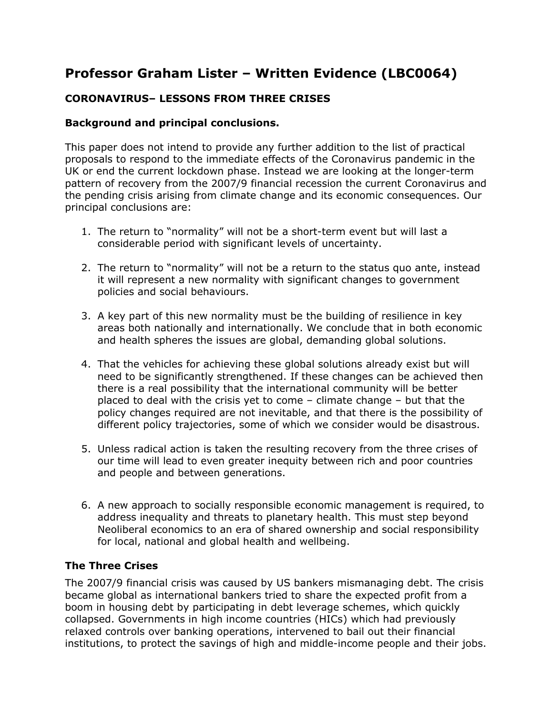# **Professor Graham Lister – Written Evidence (LBC0064)**

# **CORONAVIRUS– LESSONS FROM THREE CRISES**

## **Background and principal conclusions.**

This paper does not intend to provide any further addition to the list of practical proposals to respond to the immediate effects of the Coronavirus pandemic in the UK or end the current lockdown phase. Instead we are looking at the longer-term pattern of recovery from the 2007/9 financial recession the current Coronavirus and the pending crisis arising from climate change and its economic consequences. Our principal conclusions are:

- 1. The return to "normality" will not be a short-term event but will last a considerable period with significant levels of uncertainty.
- 2. The return to "normality" will not be a return to the status quo ante, instead it will represent a new normality with significant changes to government policies and social behaviours.
- 3. A key part of this new normality must be the building of resilience in key areas both nationally and internationally. We conclude that in both economic and health spheres the issues are global, demanding global solutions.
- 4. That the vehicles for achieving these global solutions already exist but will need to be significantly strengthened. If these changes can be achieved then there is a real possibility that the international community will be better placed to deal with the crisis yet to come – climate change – but that the policy changes required are not inevitable, and that there is the possibility of different policy trajectories, some of which we consider would be disastrous.
- 5. Unless radical action is taken the resulting recovery from the three crises of our time will lead to even greater inequity between rich and poor countries and people and between generations.
- 6. A new approach to socially responsible economic management is required, to address inequality and threats to planetary health. This must step beyond Neoliberal economics to an era of shared ownership and social responsibility for local, national and global health and wellbeing.

## **The Three Crises**

The 2007/9 financial crisis was caused by US bankers mismanaging debt. The crisis became global as international bankers tried to share the expected profit from a boom in housing debt by participating in debt leverage schemes, which quickly collapsed. Governments in high income countries (HICs) which had previously relaxed controls over banking operations, intervened to bail out their financial institutions, to protect the savings of high and middle-income people and their jobs.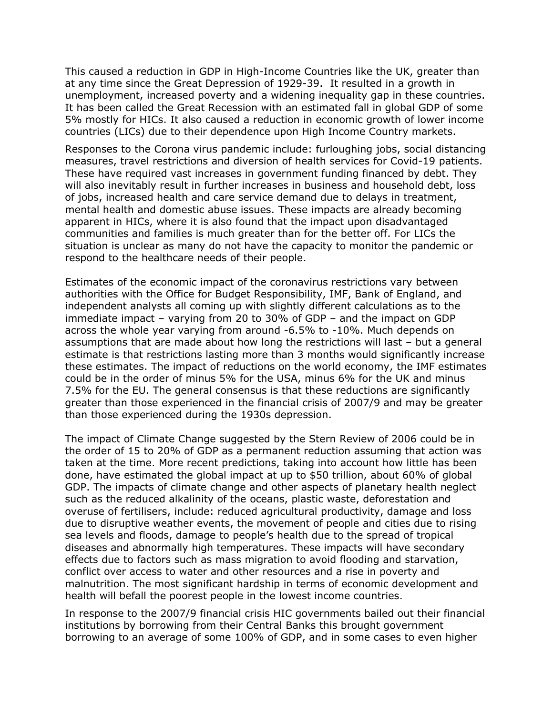This caused a reduction in GDP in High-Income Countries like the UK, greater than at any time since the Great Depression of 1929-39. It resulted in a growth in unemployment, increased poverty and a widening inequality gap in these countries. It has been called the Great Recession with an estimated fall in global GDP of some 5% mostly for HICs. It also caused a reduction in economic growth of lower income countries (LICs) due to their dependence upon High Income Country markets.

Responses to the Corona virus pandemic include: furloughing jobs, social distancing measures, travel restrictions and diversion of health services for Covid-19 patients. These have required vast increases in government funding financed by debt. They will also inevitably result in further increases in business and household debt, loss of jobs, increased health and care service demand due to delays in treatment, mental health and domestic abuse issues. These impacts are already becoming apparent in HICs, where it is also found that the impact upon disadvantaged communities and families is much greater than for the better off. For LICs the situation is unclear as many do not have the capacity to monitor the pandemic or respond to the healthcare needs of their people.

Estimates of the economic impact of the coronavirus restrictions vary between authorities with the Office for Budget Responsibility, IMF, Bank of England, and independent analysts all coming up with slightly different calculations as to the immediate impact – varying from 20 to 30% of GDP – and the impact on GDP across the whole year varying from around -6.5% to -10%. Much depends on assumptions that are made about how long the restrictions will last – but a general estimate is that restrictions lasting more than 3 months would significantly increase these estimates. The impact of reductions on the world economy, the IMF estimates could be in the order of minus 5% for the USA, minus 6% for the UK and minus 7.5% for the EU. The general consensus is that these reductions are significantly greater than those experienced in the financial crisis of 2007/9 and may be greater than those experienced during the 1930s depression.

The impact of Climate Change suggested by the Stern Review of 2006 could be in the order of 15 to 20% of GDP as a permanent reduction assuming that action was taken at the time. More recent predictions, taking into account how little has been done, have estimated the global impact at up to \$50 trillion, about 60% of global GDP. The impacts of climate change and other aspects of planetary health neglect such as the reduced alkalinity of the oceans, plastic waste, deforestation and overuse of fertilisers, include: reduced agricultural productivity, damage and loss due to disruptive weather events, the movement of people and cities due to rising sea levels and floods, damage to people's health due to the spread of tropical diseases and abnormally high temperatures. These impacts will have secondary effects due to factors such as mass migration to avoid flooding and starvation, conflict over access to water and other resources and a rise in poverty and malnutrition. The most significant hardship in terms of economic development and health will befall the poorest people in the lowest income countries.

In response to the 2007/9 financial crisis HIC governments bailed out their financial institutions by borrowing from their Central Banks this brought government borrowing to an average of some 100% of GDP, and in some cases to even higher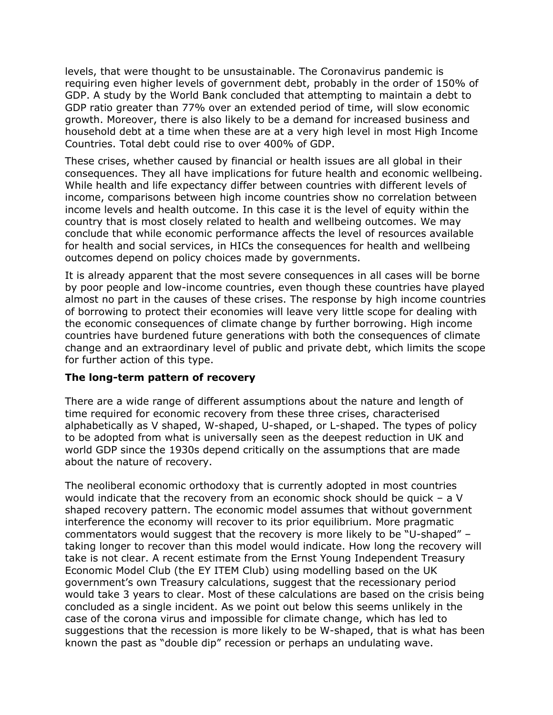levels, that were thought to be unsustainable. The Coronavirus pandemic is requiring even higher levels of government debt, probably in the order of 150% of GDP. A study by the World Bank concluded that attempting to maintain a debt to GDP ratio greater than 77% over an extended period of time, will slow economic growth. Moreover, there is also likely to be a demand for increased business and household debt at a time when these are at a very high level in most High Income Countries. Total debt could rise to over 400% of GDP.

These crises, whether caused by financial or health issues are all global in their consequences. They all have implications for future health and economic wellbeing. While health and life expectancy differ between countries with different levels of income, comparisons between high income countries show no correlation between income levels and health outcome. In this case it is the level of equity within the country that is most closely related to health and wellbeing outcomes. We may conclude that while economic performance affects the level of resources available for health and social services, in HICs the consequences for health and wellbeing outcomes depend on policy choices made by governments.

It is already apparent that the most severe consequences in all cases will be borne by poor people and low-income countries, even though these countries have played almost no part in the causes of these crises. The response by high income countries of borrowing to protect their economies will leave very little scope for dealing with the economic consequences of climate change by further borrowing. High income countries have burdened future generations with both the consequences of climate change and an extraordinary level of public and private debt, which limits the scope for further action of this type.

#### **The long-term pattern of recovery**

There are a wide range of different assumptions about the nature and length of time required for economic recovery from these three crises, characterised alphabetically as V shaped, W-shaped, U-shaped, or L-shaped. The types of policy to be adopted from what is universally seen as the deepest reduction in UK and world GDP since the 1930s depend critically on the assumptions that are made about the nature of recovery.

The neoliberal economic orthodoxy that is currently adopted in most countries would indicate that the recovery from an economic shock should be quick – a V shaped recovery pattern. The economic model assumes that without government interference the economy will recover to its prior equilibrium. More pragmatic commentators would suggest that the recovery is more likely to be "U-shaped" – taking longer to recover than this model would indicate. How long the recovery will take is not clear. A recent estimate from the Ernst Young Independent Treasury Economic Model Club (the EY ITEM Club) using modelling based on the UK government's own Treasury calculations, suggest that the recessionary period would take 3 years to clear. Most of these calculations are based on the crisis being concluded as a single incident. As we point out below this seems unlikely in the case of the corona virus and impossible for climate change, which has led to suggestions that the recession is more likely to be W-shaped, that is what has been known the past as "double dip" recession or perhaps an undulating wave.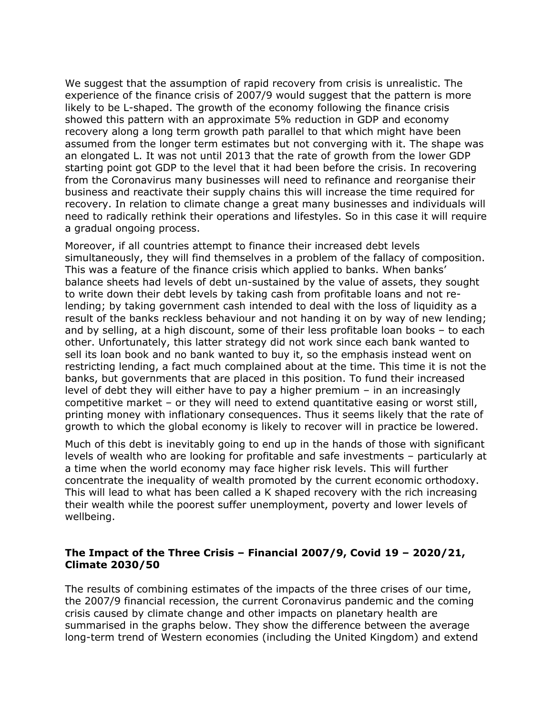We suggest that the assumption of rapid recovery from crisis is unrealistic. The experience of the finance crisis of 2007/9 would suggest that the pattern is more likely to be L-shaped. The growth of the economy following the finance crisis showed this pattern with an approximate 5% reduction in GDP and economy recovery along a long term growth path parallel to that which might have been assumed from the longer term estimates but not converging with it. The shape was an elongated L. It was not until 2013 that the rate of growth from the lower GDP starting point got GDP to the level that it had been before the crisis. In recovering from the Coronavirus many businesses will need to refinance and reorganise their business and reactivate their supply chains this will increase the time required for recovery. In relation to climate change a great many businesses and individuals will need to radically rethink their operations and lifestyles. So in this case it will require a gradual ongoing process.

Moreover, if all countries attempt to finance their increased debt levels simultaneously, they will find themselves in a problem of the fallacy of composition. This was a feature of the finance crisis which applied to banks. When banks' balance sheets had levels of debt un-sustained by the value of assets, they sought to write down their debt levels by taking cash from profitable loans and not relending; by taking government cash intended to deal with the loss of liquidity as a result of the banks reckless behaviour and not handing it on by way of new lending; and by selling, at a high discount, some of their less profitable loan books – to each other. Unfortunately, this latter strategy did not work since each bank wanted to sell its loan book and no bank wanted to buy it, so the emphasis instead went on restricting lending, a fact much complained about at the time. This time it is not the banks, but governments that are placed in this position. To fund their increased level of debt they will either have to pay a higher premium – in an increasingly competitive market – or they will need to extend quantitative easing or worst still, printing money with inflationary consequences. Thus it seems likely that the rate of growth to which the global economy is likely to recover will in practice be lowered.

Much of this debt is inevitably going to end up in the hands of those with significant levels of wealth who are looking for profitable and safe investments – particularly at a time when the world economy may face higher risk levels. This will further concentrate the inequality of wealth promoted by the current economic orthodoxy. This will lead to what has been called a K shaped recovery with the rich increasing their wealth while the poorest suffer unemployment, poverty and lower levels of wellbeing.

### **The Impact of the Three Crisis – Financial 2007/9, Covid 19 – 2020/21, Climate 2030/50**

The results of combining estimates of the impacts of the three crises of our time, the 2007/9 financial recession, the current Coronavirus pandemic and the coming crisis caused by climate change and other impacts on planetary health are summarised in the graphs below. They show the difference between the average long-term trend of Western economies (including the United Kingdom) and extend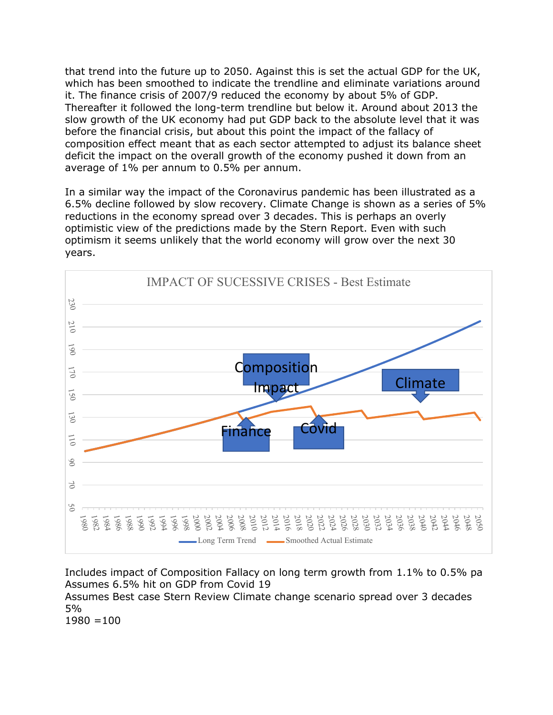that trend into the future up to 2050. Against this is set the actual GDP for the UK, which has been smoothed to indicate the trendline and eliminate variations around it. The finance crisis of 2007/9 reduced the economy by about 5% of GDP. Thereafter it followed the long-term trendline but below it. Around about 2013 the slow growth of the UK economy had put GDP back to the absolute level that it was before the financial crisis, but about this point the impact of the fallacy of composition effect meant that as each sector attempted to adjust its balance sheet deficit the impact on the overall growth of the economy pushed it down from an average of 1% per annum to 0.5% per annum.

In a similar way the impact of the Coronavirus pandemic has been illustrated as a 6.5% decline followed by slow recovery. Climate Change is shown as a series of 5% reductions in the economy spread over 3 decades. This is perhaps an overly optimistic view of the predictions made by the Stern Report. Even with such optimism it seems unlikely that the world economy will grow over the next 30 years.



Includes impact of Composition Fallacy on long term growth from 1.1% to 0.5% pa Assumes 6.5% hit on GDP from Covid 19 Assumes Best case Stern Review Climate change scenario spread over 3 decades 5%  $1980 = 100$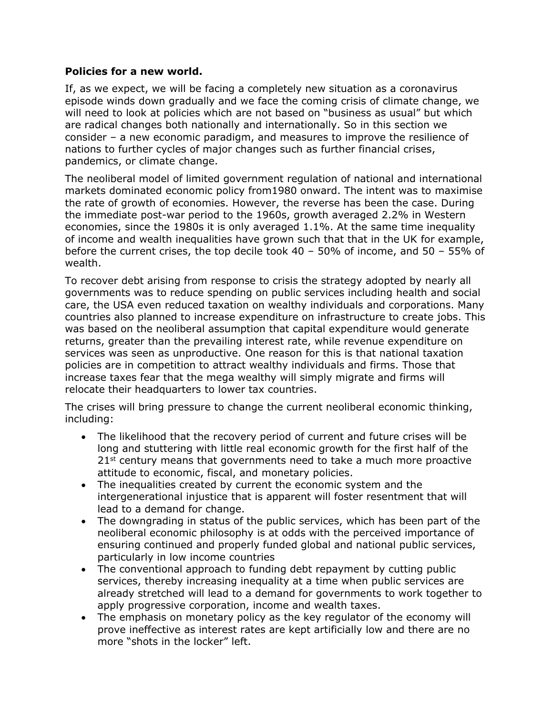#### **Policies for a new world.**

If, as we expect, we will be facing a completely new situation as a coronavirus episode winds down gradually and we face the coming crisis of climate change, we will need to look at policies which are not based on "business as usual" but which are radical changes both nationally and internationally. So in this section we consider – a new economic paradigm, and measures to improve the resilience of nations to further cycles of major changes such as further financial crises, pandemics, or climate change.

The neoliberal model of limited government regulation of national and international markets dominated economic policy from1980 onward. The intent was to maximise the rate of growth of economies. However, the reverse has been the case. During the immediate post-war period to the 1960s, growth averaged 2.2% in Western economies, since the 1980s it is only averaged 1.1%. At the same time inequality of income and wealth inequalities have grown such that that in the UK for example, before the current crises, the top decile took 40 – 50% of income, and 50 – 55% of wealth.

To recover debt arising from response to crisis the strategy adopted by nearly all governments was to reduce spending on public services including health and social care, the USA even reduced taxation on wealthy individuals and corporations. Many countries also planned to increase expenditure on infrastructure to create jobs. This was based on the neoliberal assumption that capital expenditure would generate returns, greater than the prevailing interest rate, while revenue expenditure on services was seen as unproductive. One reason for this is that national taxation policies are in competition to attract wealthy individuals and firms. Those that increase taxes fear that the mega wealthy will simply migrate and firms will relocate their headquarters to lower tax countries.

The crises will bring pressure to change the current neoliberal economic thinking, including:

- The likelihood that the recovery period of current and future crises will be long and stuttering with little real economic growth for the first half of the  $21<sup>st</sup>$  century means that governments need to take a much more proactive attitude to economic, fiscal, and monetary policies.
- The inequalities created by current the economic system and the intergenerational injustice that is apparent will foster resentment that will lead to a demand for change.
- The downgrading in status of the public services, which has been part of the neoliberal economic philosophy is at odds with the perceived importance of ensuring continued and properly funded global and national public services, particularly in low income countries
- The conventional approach to funding debt repayment by cutting public services, thereby increasing inequality at a time when public services are already stretched will lead to a demand for governments to work together to apply progressive corporation, income and wealth taxes.
- The emphasis on monetary policy as the key regulator of the economy will prove ineffective as interest rates are kept artificially low and there are no more "shots in the locker" left.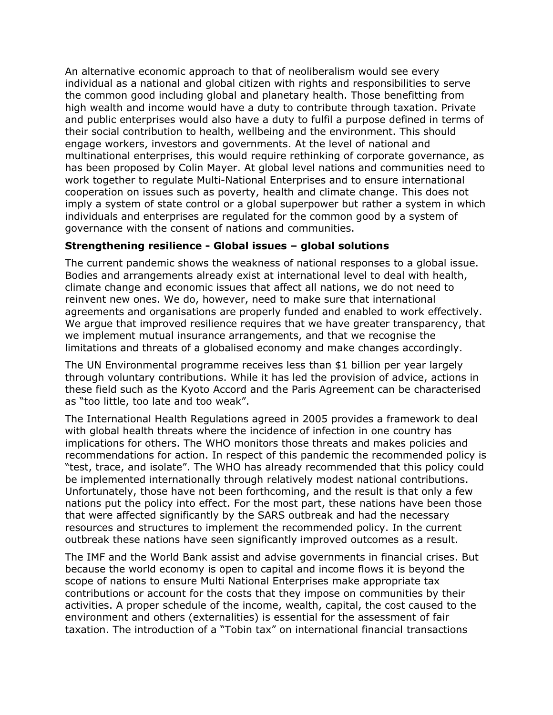An alternative economic approach to that of neoliberalism would see every individual as a national and global citizen with rights and responsibilities to serve the common good including global and planetary health. Those benefitting from high wealth and income would have a duty to contribute through taxation. Private and public enterprises would also have a duty to fulfil a purpose defined in terms of their social contribution to health, wellbeing and the environment. This should engage workers, investors and governments. At the level of national and multinational enterprises, this would require rethinking of corporate governance, as has been proposed by Colin Mayer. At global level nations and communities need to work together to regulate Multi-National Enterprises and to ensure international cooperation on issues such as poverty, health and climate change. This does not imply a system of state control or a global superpower but rather a system in which individuals and enterprises are regulated for the common good by a system of governance with the consent of nations and communities.

### **Strengthening resilience - Global issues – global solutions**

The current pandemic shows the weakness of national responses to a global issue. Bodies and arrangements already exist at international level to deal with health, climate change and economic issues that affect all nations, we do not need to reinvent new ones. We do, however, need to make sure that international agreements and organisations are properly funded and enabled to work effectively. We argue that improved resilience requires that we have greater transparency, that we implement mutual insurance arrangements, and that we recognise the limitations and threats of a globalised economy and make changes accordingly.

The UN Environmental programme receives less than \$1 billion per year largely through voluntary contributions. While it has led the provision of advice, actions in these field such as the Kyoto Accord and the Paris Agreement can be characterised as "too little, too late and too weak".

The International Health Regulations agreed in 2005 provides a framework to deal with global health threats where the incidence of infection in one country has implications for others. The WHO monitors those threats and makes policies and recommendations for action. In respect of this pandemic the recommended policy is "test, trace, and isolate". The WHO has already recommended that this policy could be implemented internationally through relatively modest national contributions. Unfortunately, those have not been forthcoming, and the result is that only a few nations put the policy into effect. For the most part, these nations have been those that were affected significantly by the SARS outbreak and had the necessary resources and structures to implement the recommended policy. In the current outbreak these nations have seen significantly improved outcomes as a result.

The IMF and the World Bank assist and advise governments in financial crises. But because the world economy is open to capital and income flows it is beyond the scope of nations to ensure Multi National Enterprises make appropriate tax contributions or account for the costs that they impose on communities by their activities. A proper schedule of the income, wealth, capital, the cost caused to the environment and others (externalities) is essential for the assessment of fair taxation. The introduction of a "Tobin tax" on international financial transactions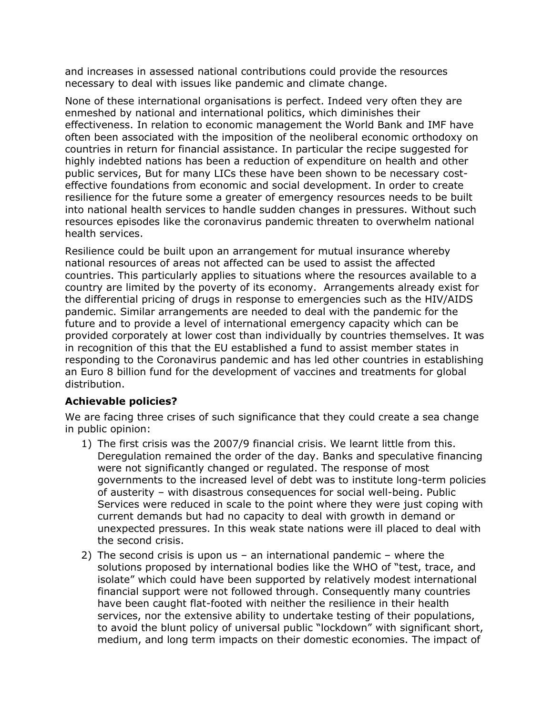and increases in assessed national contributions could provide the resources necessary to deal with issues like pandemic and climate change.

None of these international organisations is perfect. Indeed very often they are enmeshed by national and international politics, which diminishes their effectiveness. In relation to economic management the World Bank and IMF have often been associated with the imposition of the neoliberal economic orthodoxy on countries in return for financial assistance. In particular the recipe suggested for highly indebted nations has been a reduction of expenditure on health and other public services, But for many LICs these have been shown to be necessary costeffective foundations from economic and social development. In order to create resilience for the future some a greater of emergency resources needs to be built into national health services to handle sudden changes in pressures. Without such resources episodes like the coronavirus pandemic threaten to overwhelm national health services.

Resilience could be built upon an arrangement for mutual insurance whereby national resources of areas not affected can be used to assist the affected countries. This particularly applies to situations where the resources available to a country are limited by the poverty of its economy. Arrangements already exist for the differential pricing of drugs in response to emergencies such as the HIV/AIDS pandemic. Similar arrangements are needed to deal with the pandemic for the future and to provide a level of international emergency capacity which can be provided corporately at lower cost than individually by countries themselves. It was in recognition of this that the EU established a fund to assist member states in responding to the Coronavirus pandemic and has led other countries in establishing an Euro 8 billion fund for the development of vaccines and treatments for global distribution.

### **Achievable policies?**

We are facing three crises of such significance that they could create a sea change in public opinion:

- 1) The first crisis was the 2007/9 financial crisis. We learnt little from this. Deregulation remained the order of the day. Banks and speculative financing were not significantly changed or regulated. The response of most governments to the increased level of debt was to institute long-term policies of austerity – with disastrous consequences for social well-being. Public Services were reduced in scale to the point where they were just coping with current demands but had no capacity to deal with growth in demand or unexpected pressures. In this weak state nations were ill placed to deal with the second crisis.
- 2) The second crisis is upon us an international pandemic where the solutions proposed by international bodies like the WHO of "test, trace, and isolate" which could have been supported by relatively modest international financial support were not followed through. Consequently many countries have been caught flat-footed with neither the resilience in their health services, nor the extensive ability to undertake testing of their populations, to avoid the blunt policy of universal public "lockdown" with significant short, medium, and long term impacts on their domestic economies. The impact of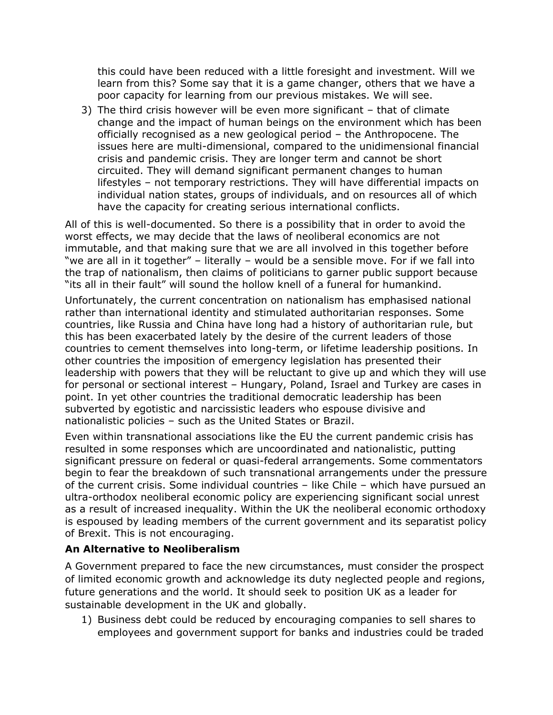this could have been reduced with a little foresight and investment. Will we learn from this? Some say that it is a game changer, others that we have a poor capacity for learning from our previous mistakes. We will see.

3) The third crisis however will be even more significant – that of climate change and the impact of human beings on the environment which has been officially recognised as a new geological period – the Anthropocene. The issues here are multi-dimensional, compared to the unidimensional financial crisis and pandemic crisis. They are longer term and cannot be short circuited. They will demand significant permanent changes to human lifestyles – not temporary restrictions. They will have differential impacts on individual nation states, groups of individuals, and on resources all of which have the capacity for creating serious international conflicts.

All of this is well-documented. So there is a possibility that in order to avoid the worst effects, we may decide that the laws of neoliberal economics are not immutable, and that making sure that we are all involved in this together before "we are all in it together" – literally – would be a sensible move. For if we fall into the trap of nationalism, then claims of politicians to garner public support because "its all in their fault" will sound the hollow knell of a funeral for humankind.

Unfortunately, the current concentration on nationalism has emphasised national rather than international identity and stimulated authoritarian responses. Some countries, like Russia and China have long had a history of authoritarian rule, but this has been exacerbated lately by the desire of the current leaders of those countries to cement themselves into long-term, or lifetime leadership positions. In other countries the imposition of emergency legislation has presented their leadership with powers that they will be reluctant to give up and which they will use for personal or sectional interest – Hungary, Poland, Israel and Turkey are cases in point. In yet other countries the traditional democratic leadership has been subverted by egotistic and narcissistic leaders who espouse divisive and nationalistic policies – such as the United States or Brazil.

Even within transnational associations like the EU the current pandemic crisis has resulted in some responses which are uncoordinated and nationalistic, putting significant pressure on federal or quasi-federal arrangements. Some commentators begin to fear the breakdown of such transnational arrangements under the pressure of the current crisis. Some individual countries – like Chile – which have pursued an ultra-orthodox neoliberal economic policy are experiencing significant social unrest as a result of increased inequality. Within the UK the neoliberal economic orthodoxy is espoused by leading members of the current government and its separatist policy of Brexit. This is not encouraging.

## **An Alternative to Neoliberalism**

A Government prepared to face the new circumstances, must consider the prospect of limited economic growth and acknowledge its duty neglected people and regions, future generations and the world. It should seek to position UK as a leader for sustainable development in the UK and globally.

1) Business debt could be reduced by encouraging companies to sell shares to employees and government support for banks and industries could be traded